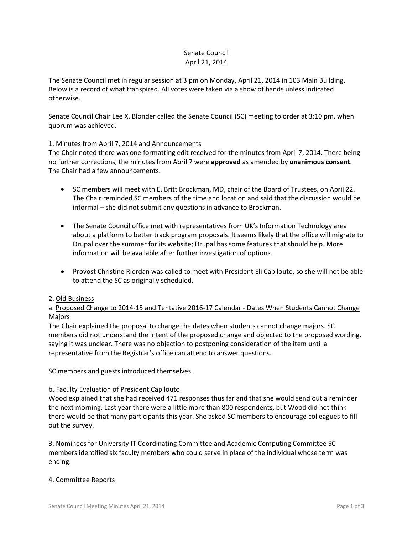# Senate Council April 21, 2014

The Senate Council met in regular session at 3 pm on Monday, April 21, 2014 in 103 Main Building. Below is a record of what transpired. All votes were taken via a show of hands unless indicated otherwise.

Senate Council Chair Lee X. Blonder called the Senate Council (SC) meeting to order at 3:10 pm, when quorum was achieved.

# 1. Minutes from April 7, 2014 and Announcements

The Chair noted there was one formatting edit received for the minutes from April 7, 2014. There being no further corrections, the minutes from April 7 were **approved** as amended by **unanimous consent**. The Chair had a few announcements.

- SC members will meet with E. Britt Brockman, MD, chair of the Board of Trustees, on April 22. The Chair reminded SC members of the time and location and said that the discussion would be informal – she did not submit any questions in advance to Brockman.
- The Senate Council office met with representatives from UK's Information Technology area about a platform to better track program proposals. It seems likely that the office will migrate to Drupal over the summer for its website; Drupal has some features that should help. More information will be available after further investigation of options.
- Provost Christine Riordan was called to meet with President Eli Capilouto, so she will not be able to attend the SC as originally scheduled.

### 2. Old Business

a. Proposed Change to 2014-15 and Tentative 2016-17 Calendar - Dates When Students Cannot Change Majors

The Chair explained the proposal to change the dates when students cannot change majors. SC members did not understand the intent of the proposed change and objected to the proposed wording, saying it was unclear. There was no objection to postponing consideration of the item until a representative from the Registrar's office can attend to answer questions.

SC members and guests introduced themselves.

### b. Faculty Evaluation of President Capilouto

Wood explained that she had received 471 responses thus far and that she would send out a reminder the next morning. Last year there were a little more than 800 respondents, but Wood did not think there would be that many participants this year. She asked SC members to encourage colleagues to fill out the survey.

3. Nominees for University IT Coordinating Committee and Academic Computing Committee SC members identified six faculty members who could serve in place of the individual whose term was ending.

# 4. Committee Reports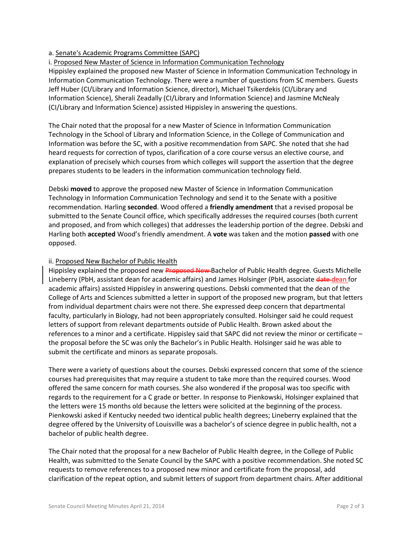# a. Senate's Academic Programs Committee (SAPC)

# i. Proposed New Master of Science in Information Communication Technology

Hippisley explained the proposed new Master of Science in Information Communication Technology in Information Communication Technology. There were a number of questions from SC members. Guests Jeff Huber (CI/Library and Information Science, director), Michael Tsikerdekis (CI/Library and Information Science), Sherali Zeadally (CI/Library and Information Science) and Jasmine McNealy (CI/Library and Information Science) assisted Hippisley in answering the questions.

The Chair noted that the proposal for a new Master of Science in Information Communication Technology in the School of Library and Information Science, in the College of Communication and Information was before the SC, with a positive recommendation from SAPC. She noted that she had heard requests for correction of typos, clarification of a core course versus an elective course, and explanation of precisely which courses from which colleges will support the assertion that the degree prepares students to be leaders in the information communication technology field.

Debski **moved** to approve the proposed new Master of Science in Information Communication Technology in Information Communication Technology and send it to the Senate with a positive recommendation. Harling **seconded**. Wood offered a **friendly amendment** that a revised proposal be submitted to the Senate Council office, which specifically addresses the required courses (both current and proposed, and from which colleges) that addresses the leadership portion of the degree. Debski and Harling both **accepted** Wood's friendly amendment. A **vote** was taken and the motion **passed** with one opposed.

### ii. Proposed New Bachelor of Public Health

Hippisley explained the proposed new Proposed New Bachelor of Public Health degree. Guests Michelle Lineberry (PbH, assistant dean for academic affairs) and James Holsinger (PbH, associate date-dean for academic affairs) assisted Hippisley in answering questions. Debski commented that the dean of the College of Arts and Sciences submitted a letter in support of the proposed new program, but that letters from individual department chairs were not there. She expressed deep concern that departmental faculty, particularly in Biology, had not been appropriately consulted. Holsinger said he could request letters of support from relevant departments outside of Public Health. Brown asked about the references to a minor and a certificate. Hippisley said that SAPC did not review the minor or certificate – the proposal before the SC was only the Bachelor's in Public Health. Holsinger said he was able to submit the certificate and minors as separate proposals.

There were a variety of questions about the courses. Debski expressed concern that some of the science courses had prerequisites that may require a student to take more than the required courses. Wood offered the same concern for math courses. She also wondered if the proposal was too specific with regards to the requirement for a C grade or better. In response to Pienkowski, Holsinger explained that the letters were 15 months old because the letters were solicited at the beginning of the process. Pienkowski asked if Kentucky needed two identical public health degrees; Lineberry explained that the degree offered by the University of Louisville was a bachelor's of science degree in public health, not a bachelor of public health degree.

The Chair noted that the proposal for a new Bachelor of Public Health degree, in the College of Public Health, was submitted to the Senate Council by the SAPC with a positive recommendation. She noted SC requests to remove references to a proposed new minor and certificate from the proposal, add clarification of the repeat option, and submit letters of support from department chairs. After additional